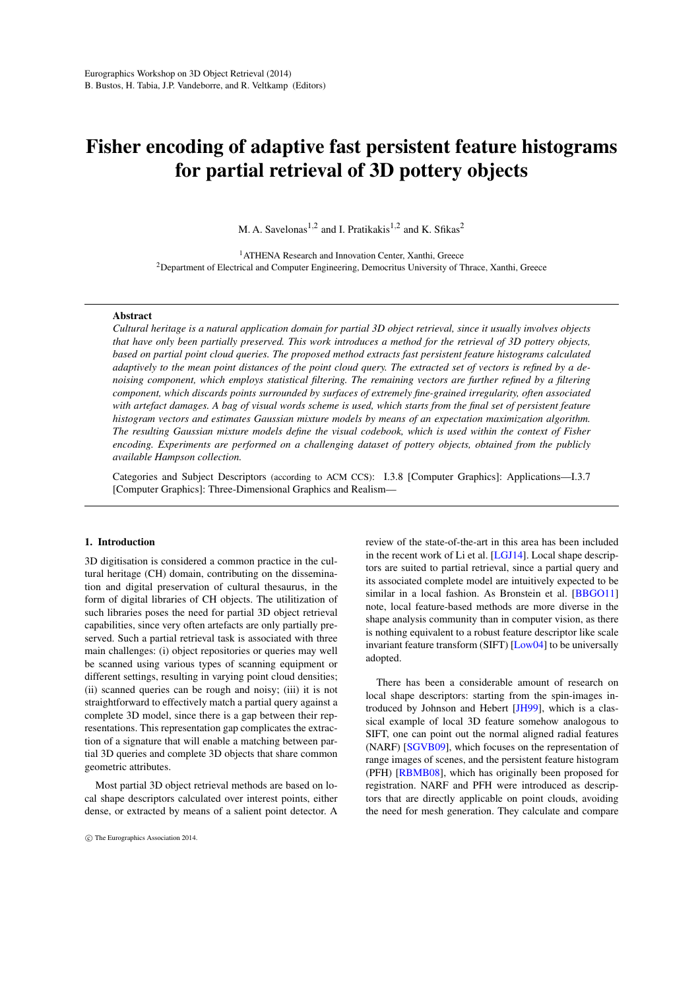# <span id="page-0-0"></span>Fisher encoding of adaptive fast persistent feature histograms for partial retrieval of 3D pottery objects

M. A. Savelonas<sup>1,2</sup> and I. Pratikakis<sup>1,2</sup> and K. Sfikas<sup>2</sup>

<sup>1</sup> ATHENA Research and Innovation Center, Xanthi, Greece <sup>2</sup>Department of Electrical and Computer Engineering, Democritus University of Thrace, Xanthi, Greece

### Abstract

*Cultural heritage is a natural application domain for partial 3D object retrieval, since it usually involves objects that have only been partially preserved. This work introduces a method for the retrieval of 3D pottery objects, based on partial point cloud queries. The proposed method extracts fast persistent feature histograms calculated adaptively to the mean point distances of the point cloud query. The extracted set of vectors is refined by a denoising component, which employs statistical filtering. The remaining vectors are further refined by a filtering component, which discards points surrounded by surfaces of extremely fine-grained irregularity, often associated with artefact damages. A bag of visual words scheme is used, which starts from the final set of persistent feature histogram vectors and estimates Gaussian mixture models by means of an expectation maximization algorithm. The resulting Gaussian mixture models define the visual codebook, which is used within the context of Fisher encoding. Experiments are performed on a challenging dataset of pottery objects, obtained from the publicly available Hampson collection.*

Categories and Subject Descriptors (according to ACM CCS): I.3.8 [Computer Graphics]: Applications—I.3.7 [Computer Graphics]: Three-Dimensional Graphics and Realism—

#### 1. Introduction

3D digitisation is considered a common practice in the cultural heritage (CH) domain, contributing on the dissemination and digital preservation of cultural thesaurus, in the form of digital libraries of CH objects. The utilitization of such libraries poses the need for partial 3D object retrieval capabilities, since very often artefacts are only partially preserved. Such a partial retrieval task is associated with three main challenges: (i) object repositories or queries may well be scanned using various types of scanning equipment or different settings, resulting in varying point cloud densities; (ii) scanned queries can be rough and noisy; (iii) it is not straightforward to effectively match a partial query against a complete 3D model, since there is a gap between their representations. This representation gap complicates the extraction of a signature that will enable a matching between partial 3D queries and complete 3D objects that share common geometric attributes.

Most partial 3D object retrieval methods are based on local shape descriptors calculated over interest points, either dense, or extracted by means of a salient point detector. A review of the state-of-the-art in this area has been included in the recent work of Li et al. [\[LGJ14\]](#page-5-0). Local shape descriptors are suited to partial retrieval, since a partial query and its associated complete model are intuitively expected to be similar in a local fashion. As Bronstein et al. [\[BBGO11\]](#page-5-1) note, local feature-based methods are more diverse in the shape analysis community than in computer vision, as there is nothing equivalent to a robust feature descriptor like scale invariant feature transform (SIFT) [\[Low04\]](#page-5-2) to be universally adopted.

There has been a considerable amount of research on local shape descriptors: starting from the spin-images introduced by Johnson and Hebert [\[JH99\]](#page-5-3), which is a classical example of local 3D feature somehow analogous to SIFT, one can point out the normal aligned radial features (NARF) [\[SGVB09\]](#page-6-0), which focuses on the representation of range images of scenes, and the persistent feature histogram (PFH) [\[RBMB08\]](#page-6-1), which has originally been proposed for registration. NARF and PFH were introduced as descriptors that are directly applicable on point clouds, avoiding the need for mesh generation. They calculate and compare

c The Eurographics Association 2014.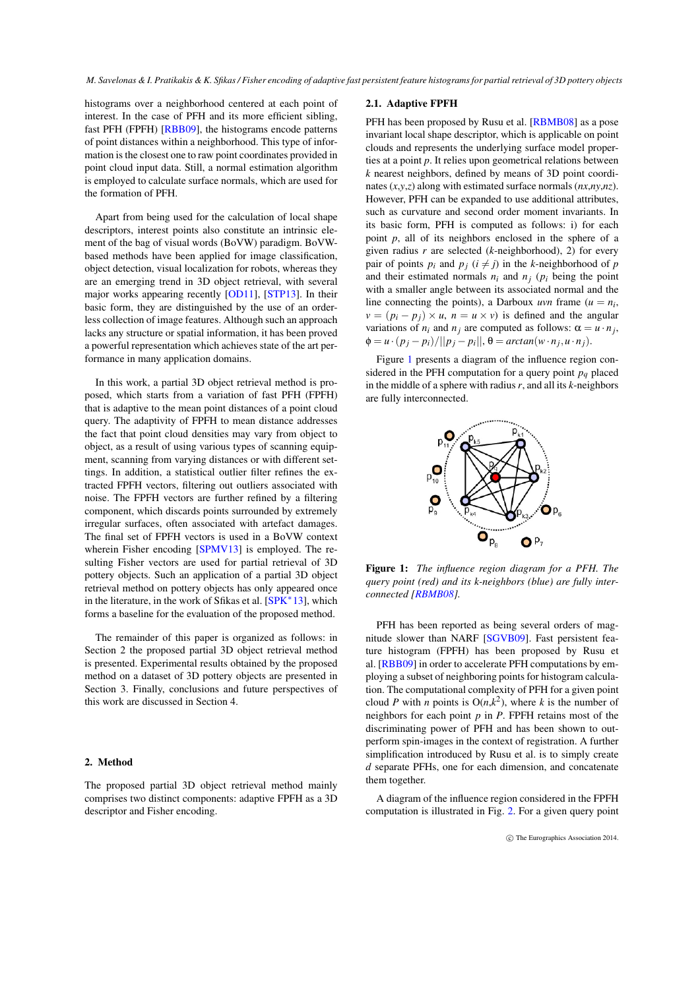<span id="page-1-1"></span>histograms over a neighborhood centered at each point of interest. In the case of PFH and its more efficient sibling, fast PFH (FPFH) [\[RBB09\]](#page-6-2), the histograms encode patterns of point distances within a neighborhood. This type of information is the closest one to raw point coordinates provided in point cloud input data. Still, a normal estimation algorithm is employed to calculate surface normals, which are used for the formation of PFH.

Apart from being used for the calculation of local shape descriptors, interest points also constitute an intrinsic element of the bag of visual words (BoVW) paradigm. BoVWbased methods have been applied for image classification, object detection, visual localization for robots, whereas they are an emerging trend in 3D object retrieval, with several major works appearing recently [\[OD11\]](#page-5-4), [\[STP13\]](#page-6-3). In their basic form, they are distinguished by the use of an orderless collection of image features. Although such an approach lacks any structure or spatial information, it has been proved a powerful representation which achieves state of the art performance in many application domains.

In this work, a partial 3D object retrieval method is proposed, which starts from a variation of fast PFH (FPFH) that is adaptive to the mean point distances of a point cloud query. The adaptivity of FPFH to mean distance addresses the fact that point cloud densities may vary from object to object, as a result of using various types of scanning equipment, scanning from varying distances or with different settings. In addition, a statistical outlier filter refines the extracted FPFH vectors, filtering out outliers associated with noise. The FPFH vectors are further refined by a filtering component, which discards points surrounded by extremely irregular surfaces, often associated with artefact damages. The final set of FPFH vectors is used in a BoVW context wherein Fisher encoding [\[SPMV13\]](#page-6-4) is employed. The resulting Fisher vectors are used for partial retrieval of 3D pottery objects. Such an application of a partial 3D object retrieval method on pottery objects has only appeared once in the literature, in the work of Sfikas et al. [\[SPK](#page-6-5)<sup>∗</sup> 13], which forms a baseline for the evaluation of the proposed method.

The remainder of this paper is organized as follows: in Section 2 the proposed partial 3D object retrieval method is presented. Experimental results obtained by the proposed method on a dataset of 3D pottery objects are presented in Section 3. Finally, conclusions and future perspectives of this work are discussed in Section 4.

#### 2. Method

The proposed partial 3D object retrieval method mainly comprises two distinct components: adaptive FPFH as a 3D descriptor and Fisher encoding.

# 2.1. Adaptive FPFH

PFH has been proposed by Rusu et al. [\[RBMB08\]](#page-6-1) as a pose invariant local shape descriptor, which is applicable on point clouds and represents the underlying surface model properties at a point *p*. It relies upon geometrical relations between *k* nearest neighbors, defined by means of 3D point coordinates (*x*,*y*,*z*) along with estimated surface normals (*nx*,*ny*,*nz*). However, PFH can be expanded to use additional attributes, such as curvature and second order moment invariants. In its basic form, PFH is computed as follows: i) for each point *p*, all of its neighbors enclosed in the sphere of a given radius *r* are selected (*k*-neighborhood), 2) for every pair of points  $p_i$  and  $p_j$  ( $i \neq j$ ) in the *k*-neighborhood of  $p$ and their estimated normals  $n_i$  and  $n_j$  ( $p_i$  being the point with a smaller angle between its associated normal and the line connecting the points), a Darboux *uvn* frame  $(u = n_i)$  $v = (p_i - p_j) \times u$ ,  $n = u \times v$  is defined and the angular variations of  $n_i$  and  $n_j$  are computed as follows:  $\alpha = u \cdot n_j$ ,  $\phi = u \cdot (p_j - p_i) / ||p_j - p_i||, \theta = \arctan(w \cdot n_j, u \cdot n_j).$ 

Figure [1](#page-1-0) presents a diagram of the influence region considered in the PFH computation for a query point  $p<sub>a</sub>$  placed in the middle of a sphere with radius*r*, and all its *k*-neighbors are fully interconnected.



<span id="page-1-0"></span>Figure 1: *The influence region diagram for a PFH. The query point (red) and its k-neighbors (blue) are fully interconnected [\[RBMB08\]](#page-6-1).*

PFH has been reported as being several orders of magnitude slower than NARF [\[SGVB09\]](#page-6-0). Fast persistent feature histogram (FPFH) has been proposed by Rusu et al. [\[RBB09\]](#page-6-2) in order to accelerate PFH computations by employing a subset of neighboring points for histogram calculation. The computational complexity of PFH for a given point cloud *P* with *n* points is  $O(n,k^2)$ , where *k* is the number of neighbors for each point *p* in *P*. FPFH retains most of the discriminating power of PFH and has been shown to outperform spin-images in the context of registration. A further simplification introduced by Rusu et al. is to simply create *d* separate PFHs, one for each dimension, and concatenate them together.

A diagram of the influence region considered in the FPFH computation is illustrated in Fig. [2.](#page-2-0) For a given query point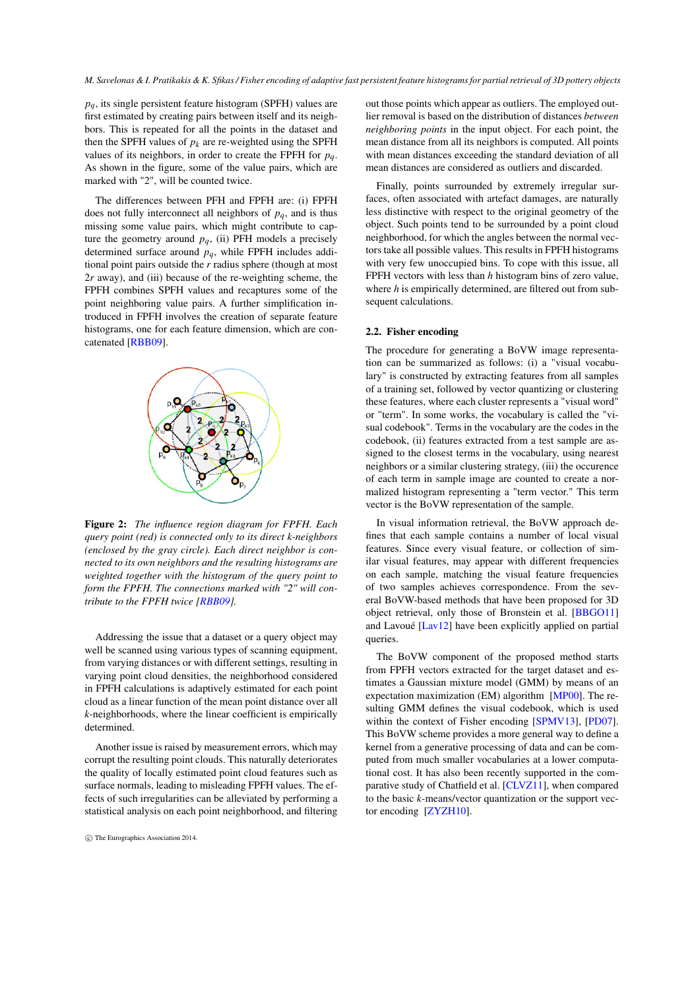<span id="page-2-1"></span>*pq*, its single persistent feature histogram (SPFH) values are first estimated by creating pairs between itself and its neighbors. This is repeated for all the points in the dataset and then the SPFH values of  $p_k$  are re-weighted using the SPFH values of its neighbors, in order to create the FPFH for *pq*. As shown in the figure, some of the value pairs, which are marked with "2", will be counted twice.

The differences between PFH and FPFH are: (i) FPFH does not fully interconnect all neighbors of  $p<sub>q</sub>$ , and is thus missing some value pairs, which might contribute to capture the geometry around  $p_q$ , (ii) PFH models a precisely determined surface around *pq*, while FPFH includes additional point pairs outside the *r* radius sphere (though at most 2*r* away), and (iii) because of the re-weighting scheme, the FPFH combines SPFH values and recaptures some of the point neighboring value pairs. A further simplification introduced in FPFH involves the creation of separate feature histograms, one for each feature dimension, which are concatenated [\[RBB09\]](#page-6-2).



<span id="page-2-0"></span>Figure 2: *The influence region diagram for FPFH. Each query point (red) is connected only to its direct k-neighbors (enclosed by the gray circle). Each direct neighbor is connected to its own neighbors and the resulting histograms are weighted together with the histogram of the query point to form the FPFH. The connections marked with "2" will contribute to the FPFH twice [\[RBB09\]](#page-6-2).*

Addressing the issue that a dataset or a query object may well be scanned using various types of scanning equipment, from varying distances or with different settings, resulting in varying point cloud densities, the neighborhood considered in FPFH calculations is adaptively estimated for each point cloud as a linear function of the mean point distance over all *k*-neighborhoods, where the linear coefficient is empirically determined.

Another issue is raised by measurement errors, which may corrupt the resulting point clouds. This naturally deteriorates the quality of locally estimated point cloud features such as surface normals, leading to misleading FPFH values. The effects of such irregularities can be alleviated by performing a statistical analysis on each point neighborhood, and filtering

out those points which appear as outliers. The employed outlier removal is based on the distribution of distances *between neighboring points* in the input object. For each point, the mean distance from all its neighbors is computed. All points with mean distances exceeding the standard deviation of all mean distances are considered as outliers and discarded.

Finally, points surrounded by extremely irregular surfaces, often associated with artefact damages, are naturally less distinctive with respect to the original geometry of the object. Such points tend to be surrounded by a point cloud neighborhood, for which the angles between the normal vectors take all possible values. This results in FPFH histograms with very few unoccupied bins. To cope with this issue, all FPFH vectors with less than *h* histogram bins of zero value, where *h* is empirically determined, are filtered out from subsequent calculations.

## 2.2. Fisher encoding

The procedure for generating a BoVW image representation can be summarized as follows: (i) a "visual vocabulary" is constructed by extracting features from all samples of a training set, followed by vector quantizing or clustering these features, where each cluster represents a "visual word" or "term". In some works, the vocabulary is called the "visual codebook". Terms in the vocabulary are the codes in the codebook, (ii) features extracted from a test sample are assigned to the closest terms in the vocabulary, using nearest neighbors or a similar clustering strategy, (iii) the occurence of each term in sample image are counted to create a normalized histogram representing a "term vector." This term vector is the BoVW representation of the sample.

In visual information retrieval, the BoVW approach defines that each sample contains a number of local visual features. Since every visual feature, or collection of similar visual features, may appear with different frequencies on each sample, matching the visual feature frequencies of two samples achieves correspondence. From the several BoVW-based methods that have been proposed for 3D object retrieval, only those of Bronstein et al. [\[BBGO11\]](#page-5-1) and Lavoué [\[Lav12\]](#page-5-5) have been explicitly applied on partial queries.

The BoVW component of the proposed method starts from FPFH vectors extracted for the target dataset and estimates a Gaussian mixture model (GMM) by means of an expectation maximization (EM) algorithm [\[MP00\]](#page-5-6). The resulting GMM defines the visual codebook, which is used within the context of Fisher encoding [\[SPMV13\]](#page-6-4), [\[PD07\]](#page-6-6). This BoVW scheme provides a more general way to define a kernel from a generative processing of data and can be computed from much smaller vocabularies at a lower computational cost. It has also been recently supported in the comparative study of Chatfield et al. [\[CLVZ11\]](#page-5-7), when compared to the basic *k*-means/vector quantization or the support vector encoding [\[ZYZH10\]](#page-6-7).

c The Eurographics Association 2014.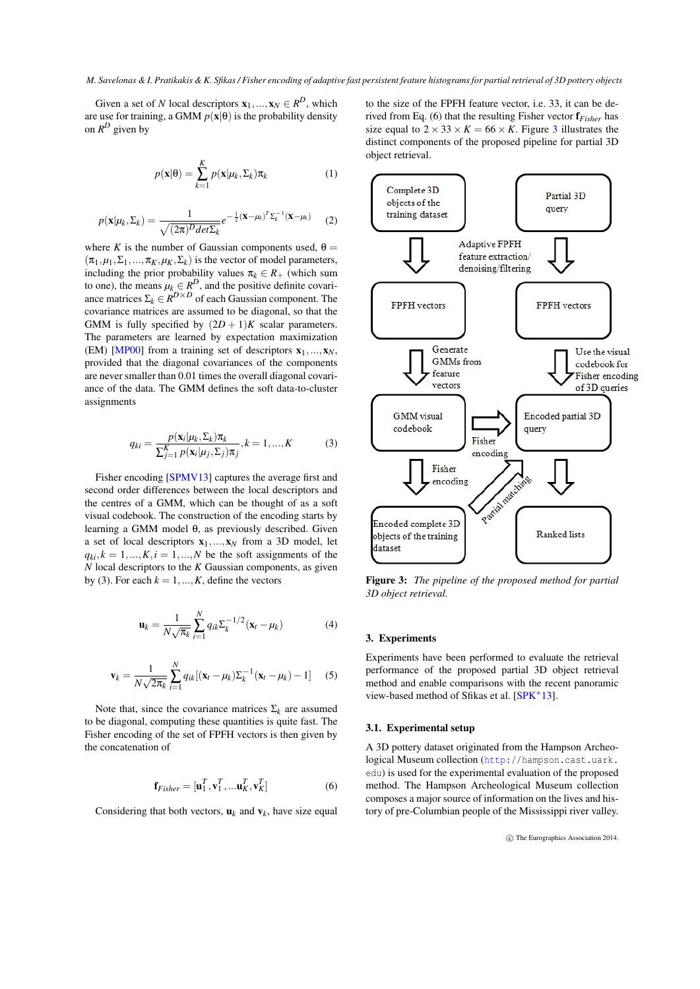<span id="page-3-1"></span>Given a set of *N* local descriptors  $\mathbf{x}_1, ..., \mathbf{x}_N \in \mathbb{R}^D$ , which are use for training, a GMM  $p(x|\theta)$  is the probability density on  $R^D$  given by

$$
p(\mathbf{x}|\boldsymbol{\theta}) = \sum_{k=1}^{K} p(\mathbf{x}|\mu_k, \Sigma_k) \pi_k
$$
 (1)

$$
p(\mathbf{x}|\mu_k, \Sigma_k) = \frac{1}{\sqrt{(2\pi)^D det \Sigma_k}} e^{-\frac{1}{2}(\mathbf{x} - \mu_k)^T \Sigma_k^{-1}(\mathbf{x} - \mu_k)}
$$
(2)

where *K* is the number of Gaussian components used,  $\theta =$  $(\pi_1, \mu_1, \Sigma_1, \ldots, \pi_K, \mu_K, \Sigma_k)$  is the vector of model parameters, including the prior probability values  $\pi_k \in R_+$  (which sum to one), the means  $\mu_k \in R^D$ , and the positive definite covariance matrices  $\Sigma_k \in \mathbb{R}^{D \times D}$  of each Gaussian component. The covariance matrices are assumed to be diagonal, so that the GMM is fully specified by  $(2D + 1)K$  scalar parameters. The parameters are learned by expectation maximization (EM) [\[MP00\]](#page-5-6) from a training set of descriptors  $x_1, ..., x_N$ , provided that the diagonal covariances of the components are never smaller than 0.01 times the overall diagonal covariance of the data. The GMM defines the soft data-to-cluster assignments

$$
q_{ki} = \frac{p(\mathbf{x}_i | \mu_k, \Sigma_k) \pi_k}{\sum_{j=1}^K p(\mathbf{x}_i | \mu_j, \Sigma_j) \pi_j}, k = 1, ..., K
$$
 (3)

Fisher encoding [\[SPMV13\]](#page-6-4) captures the average first and second order differences between the local descriptors and the centres of a GMM, which can be thought of as a soft visual codebook. The construction of the encoding starts by learning a GMM model θ, as previously described. Given a set of local descriptors  $x_1, ..., x_N$  from a 3D model, let  $q_{ki}$ ,  $k = 1, ..., K$ ,  $i = 1, ..., N$  be the soft assignments of the *N* local descriptors to the *K* Gaussian components, as given by (3). For each  $k = 1, ..., K$ , define the vectors

$$
\mathbf{u}_{k} = \frac{1}{N\sqrt{\pi_{k}}} \sum_{i=1}^{N} q_{ik} \Sigma_{k}^{-1/2} (\mathbf{x}_{t} - \mu_{k})
$$
(4)

$$
\mathbf{v}_k = \frac{1}{N\sqrt{2\pi_k}} \sum_{i=1}^N q_{ik} [(\mathbf{x}_t - \mu_k) \Sigma_k^{-1} (\mathbf{x}_t - \mu_k) - 1] \quad (5)
$$

Note that, since the covariance matrices  $\Sigma_k$  are assumed to be diagonal, computing these quantities is quite fast. The Fisher encoding of the set of FPFH vectors is then given by the concatenation of

$$
\mathbf{f}_{Fisher} = [\mathbf{u}_1^T, \mathbf{v}_1^T, \dots \mathbf{u}_K^T, \mathbf{v}_K^T] \tag{6}
$$

Considering that both vectors,  $\mathbf{u}_k$  and  $\mathbf{v}_k$ , have size equal

to the size of the FPFH feature vector, i.e. 33, it can be derived from Eq. (6) that the resulting Fisher vector f*Fisher* has size equal to  $2 \times 33 \times K = 66 \times K$  $2 \times 33 \times K = 66 \times K$  $2 \times 33 \times K = 66 \times K$ . Figure 3 illustrates the distinct components of the proposed pipeline for partial 3D object retrieval.



<span id="page-3-0"></span>Figure 3: *The pipeline of the proposed method for partial 3D object retrieval.*

## 3. Experiments

Experiments have been performed to evaluate the retrieval performance of the proposed partial 3D object retrieval method and enable comparisons with the recent panoramic view-based method of Sfikas et al. [\[SPK](#page-6-5)<sup>\*</sup>13].

## 3.1. Experimental setup

A 3D pottery dataset originated from the Hampson Archeological Museum collection ([http:/](http://hampson.cast.uark.edu)/hampson.cast.uark. edu) is used for the experimental evaluation of the proposed method. The Hampson Archeological Museum collection composes a major source of information on the lives and history of pre-Columbian people of the Mississippi river valley.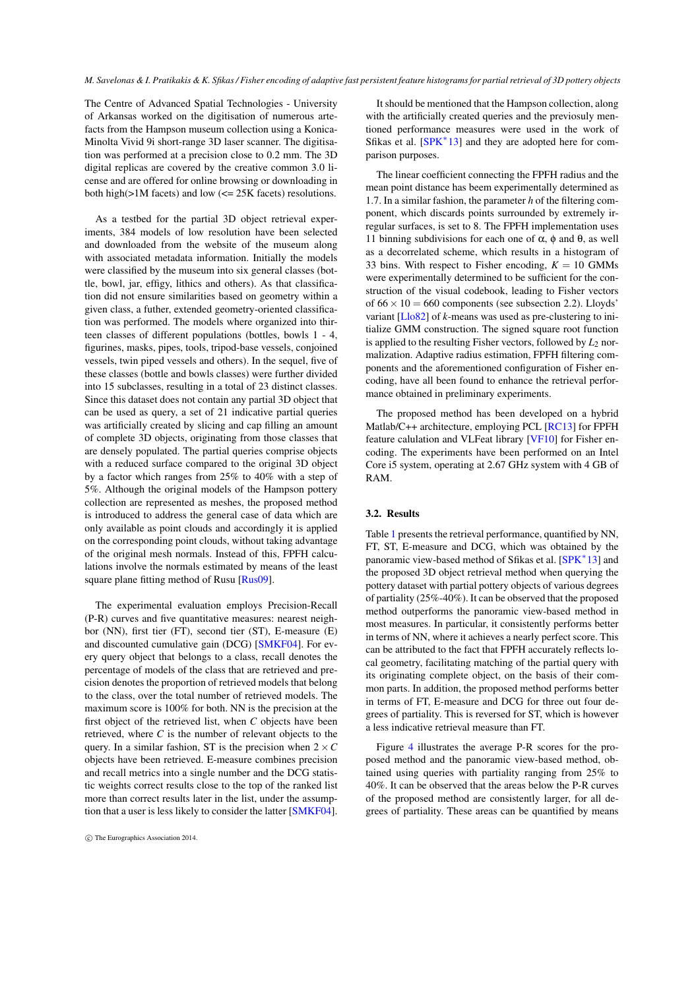<span id="page-4-0"></span>The Centre of Advanced Spatial Technologies - University of Arkansas worked on the digitisation of numerous artefacts from the Hampson museum collection using a Konica-Minolta Vivid 9i short-range 3D laser scanner. The digitisation was performed at a precision close to 0.2 mm. The 3D digital replicas are covered by the creative common 3.0 license and are offered for online browsing or downloading in both high(>1M facets) and low (<= 25K facets) resolutions.

As a testbed for the partial 3D object retrieval experiments, 384 models of low resolution have been selected and downloaded from the website of the museum along with associated metadata information. Initially the models were classified by the museum into six general classes (bottle, bowl, jar, effigy, lithics and others). As that classification did not ensure similarities based on geometry within a given class, a futher, extended geometry-oriented classification was performed. The models where organized into thirteen classes of different populations (bottles, bowls 1 - 4, figurines, masks, pipes, tools, tripod-base vessels, conjoined vessels, twin piped vessels and others). In the sequel, five of these classes (bottle and bowls classes) were further divided into 15 subclasses, resulting in a total of 23 distinct classes. Since this dataset does not contain any partial 3D object that can be used as query, a set of 21 indicative partial queries was artificially created by slicing and cap filling an amount of complete 3D objects, originating from those classes that are densely populated. The partial queries comprise objects with a reduced surface compared to the original 3D object by a factor which ranges from 25% to 40% with a step of 5%. Although the original models of the Hampson pottery collection are represented as meshes, the proposed method is introduced to address the general case of data which are only available as point clouds and accordingly it is applied on the corresponding point clouds, without taking advantage of the original mesh normals. Instead of this, FPFH calculations involve the normals estimated by means of the least square plane fitting method of Rusu [\[Rus09\]](#page-6-8).

The experimental evaluation employs Precision-Recall (P-R) curves and five quantitative measures: nearest neighbor (NN), first tier (FT), second tier (ST), E-measure (E) and discounted cumulative gain (DCG) [\[SMKF04\]](#page-6-9). For every query object that belongs to a class, recall denotes the percentage of models of the class that are retrieved and precision denotes the proportion of retrieved models that belong to the class, over the total number of retrieved models. The maximum score is 100% for both. NN is the precision at the first object of the retrieved list, when *C* objects have been retrieved, where *C* is the number of relevant objects to the query. In a similar fashion, ST is the precision when  $2 \times C$ objects have been retrieved. E-measure combines precision and recall metrics into a single number and the DCG statistic weights correct results close to the top of the ranked list more than correct results later in the list, under the assumption that a user is less likely to consider the latter [\[SMKF04\]](#page-6-9).

It should be mentioned that the Hampson collection, along with the artificially created queries and the previosuly mentioned performance measures were used in the work of Sfikas et al. [\[SPK](#page-6-5)<sup>\*</sup>13] and they are adopted here for comparison purposes.

The linear coefficient connecting the FPFH radius and the mean point distance has beem experimentally determined as 1.7. In a similar fashion, the parameter *h* of the filtering component, which discards points surrounded by extremely irregular surfaces, is set to 8. The FPFH implementation uses 11 binning subdivisions for each one of  $\alpha$ , φ and  $\theta$ , as well as a decorrelated scheme, which results in a histogram of 33 bins. With respect to Fisher encoding,  $K = 10$  GMMs were experimentally determined to be sufficient for the construction of the visual codebook, leading to Fisher vectors of  $66 \times 10 = 660$  components (see subsection 2.2). Lloyds' variant [\[Llo82\]](#page-5-8) of *k*-means was used as pre-clustering to initialize GMM construction. The signed square root function is applied to the resulting Fisher vectors, followed by  $L_2$  normalization. Adaptive radius estimation, FPFH filtering components and the aforementioned configuration of Fisher encoding, have all been found to enhance the retrieval performance obtained in preliminary experiments.

The proposed method has been developed on a hybrid Matlab/C++ architecture, employing PCL [\[RC13\]](#page-6-10) for FPFH feature calulation and VLFeat library [\[VF10\]](#page-6-11) for Fisher encoding. The experiments have been performed on an Intel Core i5 system, operating at 2.67 GHz system with 4 GB of RAM.

#### 3.2. Results

Table [1](#page-5-9) presents the retrieval performance, quantified by NN, FT, ST, E-measure and DCG, which was obtained by the panoramic view-based method of Sfikas et al. [\[SPK](#page-6-5)<sup>\*</sup>13] and the proposed 3D object retrieval method when querying the pottery dataset with partial pottery objects of various degrees of partiality (25%-40%). It can be observed that the proposed method outperforms the panoramic view-based method in most measures. In particular, it consistently performs better in terms of NN, where it achieves a nearly perfect score. This can be attributed to the fact that FPFH accurately reflects local geometry, facilitating matching of the partial query with its originating complete object, on the basis of their common parts. In addition, the proposed method performs better in terms of FT, E-measure and DCG for three out four degrees of partiality. This is reversed for ST, which is however a less indicative retrieval measure than FT.

Figure [4](#page-7-0) illustrates the average P-R scores for the proposed method and the panoramic view-based method, obtained using queries with partiality ranging from 25% to 40%. It can be observed that the areas below the P-R curves of the proposed method are consistently larger, for all degrees of partiality. These areas can be quantified by means

c The Eurographics Association 2014.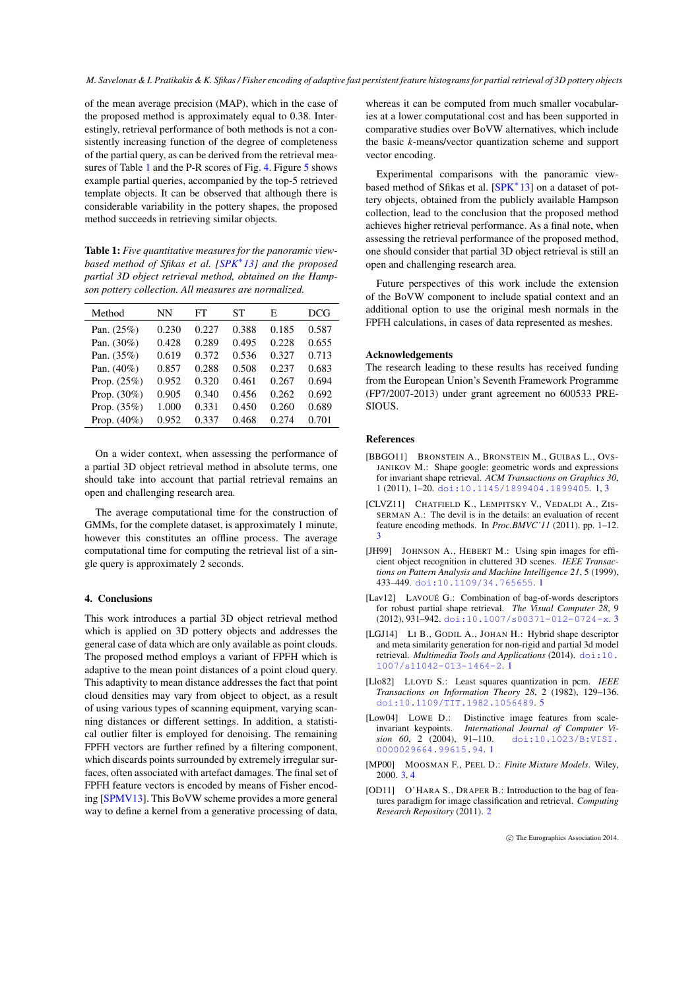<span id="page-5-10"></span>of the mean average precision (MAP), which in the case of the proposed method is approximately equal to 0.38. Interestingly, retrieval performance of both methods is not a consistently increasing function of the degree of completeness of the partial query, as can be derived from the retrieval mea-sures of Table [1](#page-5-9) and the P-R scores of Fig. [4.](#page-7-0) Figure [5](#page-7-1) shows example partial queries, accompanied by the top-5 retrieved template objects. It can be observed that although there is considerable variability in the pottery shapes, the proposed method succeeds in retrieving similar objects.

<span id="page-5-9"></span>Table 1: *Five quantitative measures for the panoramic viewbased method of Sfikas et al. [\[SPK](#page-6-5)*<sup>∗</sup> *13] and the proposed partial 3D object retrieval method, obtained on the Hampson pottery collection. All measures are normalized.*

| Method         | NΝ    | FT    | SТ    | Е     | <b>DCG</b> |
|----------------|-------|-------|-------|-------|------------|
| Pan. $(25%)$   | 0.230 | 0.227 | 0.388 | 0.185 | 0.587      |
| Pan. (30%)     | 0.428 | 0.289 | 0.495 | 0.228 | 0.655      |
| Pan. (35%)     | 0.619 | 0.372 | 0.536 | 0.327 | 0.713      |
| Pan. $(40\%)$  | 0.857 | 0.288 | 0.508 | 0.237 | 0.683      |
| Prop. $(25%)$  | 0.952 | 0.320 | 0.461 | 0.267 | 0.694      |
| Prop. $(30\%)$ | 0.905 | 0.340 | 0.456 | 0.262 | 0.692      |
| Prop. $(35%)$  | 1.000 | 0.331 | 0.450 | 0.260 | 0.689      |
| Prop. $(40\%)$ | 0.952 | 0.337 | 0.468 | 0.274 | 0.701      |
|                |       |       |       |       |            |

On a wider context, when assessing the performance of a partial 3D object retrieval method in absolute terms, one should take into account that partial retrieval remains an open and challenging research area.

The average computational time for the construction of GMMs, for the complete dataset, is approximately 1 minute, however this constitutes an offline process. The average computational time for computing the retrieval list of a single query is approximately 2 seconds.

## 4. Conclusions

This work introduces a partial 3D object retrieval method which is applied on 3D pottery objects and addresses the general case of data which are only available as point clouds. The proposed method employs a variant of FPFH which is adaptive to the mean point distances of a point cloud query. This adaptivity to mean distance addresses the fact that point cloud densities may vary from object to object, as a result of using various types of scanning equipment, varying scanning distances or different settings. In addition, a statistical outlier filter is employed for denoising. The remaining FPFH vectors are further refined by a filtering component, which discards points surrounded by extremely irregular surfaces, often associated with artefact damages. The final set of FPFH feature vectors is encoded by means of Fisher encoding [\[SPMV13\]](#page-6-4). This BoVW scheme provides a more general way to define a kernel from a generative processing of data,

whereas it can be computed from much smaller vocabularies at a lower computational cost and has been supported in comparative studies over BoVW alternatives, which include the basic *k*-means/vector quantization scheme and support vector encoding.

Experimental comparisons with the panoramic view-based method of Sfikas et al. [\[SPK](#page-6-5)<sup>\*</sup>13] on a dataset of pottery objects, obtained from the publicly available Hampson collection, lead to the conclusion that the proposed method achieves higher retrieval performance. As a final note, when assessing the retrieval performance of the proposed method, one should consider that partial 3D object retrieval is still an open and challenging research area.

Future perspectives of this work include the extension of the BoVW component to include spatial context and an additional option to use the original mesh normals in the FPFH calculations, in cases of data represented as meshes.

#### Acknowledgements

The research leading to these results has received funding from the European Union's Seventh Framework Programme (FP7/2007-2013) under grant agreement no 600533 PRE-SIOUS.

#### References

- <span id="page-5-1"></span>[BBGO11] BRONSTEIN A., BRONSTEIN M., GUIBAS L., OVS-JANIKOV M.: Shape google: geometric words and expressions for invariant shape retrieval. *ACM Transactions on Graphics 30*, 1 (2011), 1–20. [doi:10.1145/1899404.1899405](http://dx.doi.org/10.1145/1899404.1899405). [1,](#page-0-0) [3](#page-2-1)
- <span id="page-5-7"></span>[CLVZ11] CHATFIELD K., LEMPITSKY V., VEDALDI A., ZIS-SERMAN A.: The devil is in the details: an evaluation of recent feature encoding methods. In *Proc.BMVC'11* (2011), pp. 1–12. [3](#page-2-1)
- <span id="page-5-3"></span>[JH99] JOHNSON A., HEBERT M.: Using spin images for efficient object recognition in cluttered 3D scenes. *IEEE Transactions on Pattern Analysis and Machine Intelligence 21*, 5 (1999), 433–449. [doi:10.1109/34.765655](http://dx.doi.org/10.1109/34.765655). [1](#page-0-0)
- <span id="page-5-5"></span>[Lav12] LAVOUÉ G.: Combination of bag-of-words descriptors for robust partial shape retrieval. *The Visual Computer 28*, 9 (2012), 931–942. [doi:10.1007/s00371-012-0724-x](http://dx.doi.org/10.1007/s00371-012-0724-x). [3](#page-2-1)
- <span id="page-5-0"></span>[LGJ14] LI B., GODIL A., JOHAN H.: Hybrid shape descriptor and meta similarity generation for non-rigid and partial 3d model retrieval. *Multimedia Tools and Applications* (2014). [doi:10.](http://dx.doi.org/10.1007/s11042-013-1464-2) [1007/s11042-013-1464-2](http://dx.doi.org/10.1007/s11042-013-1464-2). [1](#page-0-0)
- <span id="page-5-8"></span>[Llo82] LLOYD S.: Least squares quantization in pcm. *IEEE Transactions on Information Theory 28*, 2 (1982), 129–136. [doi:10.1109/TIT.1982.1056489](http://dx.doi.org/10.1109/TIT.1982.1056489). [5](#page-4-0)
- <span id="page-5-2"></span>[Low04] LOWE D.: Distinctive image features from scaleinvariant keypoints. *International Journal of Computer Vision 60*, 2 (2004), 91–110. [doi:10.1023/B:VISI.](http://dx.doi.org/10.1023/B:VISI.0000029664.99615.94) [0000029664.99615.94](http://dx.doi.org/10.1023/B:VISI.0000029664.99615.94). [1](#page-0-0)
- <span id="page-5-6"></span>[MP00] MOOSMAN F., PEEL D.: *Finite Mixture Models*. Wiley, 2000. [3,](#page-2-1) [4](#page-3-1)
- <span id="page-5-4"></span>[OD11] O'HARA S., DRAPER B.: Introduction to the bag of features paradigm for image classification and retrieval. *Computing Research Repository* (2011). [2](#page-1-1)

c The Eurographics Association 2014.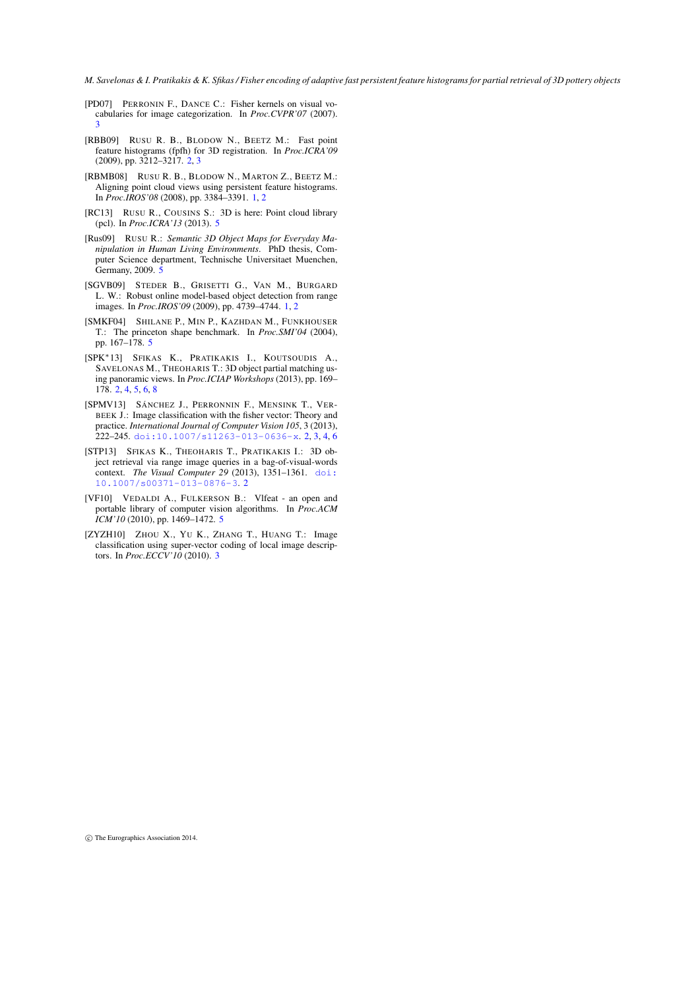*M. Savelonas & I. Pratikakis & K. Sfikas / Fisher encoding of adaptive fast persistent feature histograms for partial retrieval of 3D pottery objects*

- <span id="page-6-6"></span>[PD07] PERRONIN F., DANCE C.: Fisher kernels on visual vocabularies for image categorization. In *Proc.CVPR'07* (2007). [3](#page-2-1)
- <span id="page-6-2"></span>[RBB09] RUSU R. B., BLODOW N., BEETZ M.: Fast point feature histograms (fpfh) for 3D registration. In *Proc.ICRA'09* (2009), pp. 3212–3217. [2,](#page-1-1) [3](#page-2-1)
- <span id="page-6-1"></span>[RBMB08] RUSU R. B., BLODOW N., MARTON Z., BEETZ M.: Aligning point cloud views using persistent feature histograms. In *Proc.IROS'08* (2008), pp. 3384–3391. [1,](#page-0-0) [2](#page-1-1)
- <span id="page-6-10"></span>[RC13] RUSU R., COUSINS S.: 3D is here: Point cloud library (pcl). In *Proc.ICRA'13* (2013). [5](#page-4-0)
- <span id="page-6-8"></span>[Rus09] RUSU R.: *Semantic 3D Object Maps for Everyday Manipulation in Human Living Environments*. PhD thesis, Computer Science department, Technische Universitaet Muenchen, Germany, 2009. [5](#page-4-0)
- <span id="page-6-0"></span>[SGVB09] STEDER B., GRISETTI G., VAN M., BURGARD L. W.: Robust online model-based object detection from range images. In *Proc.IROS'09* (2009), pp. 4739–4744. [1,](#page-0-0) [2](#page-1-1)
- <span id="page-6-9"></span>[SMKF04] SHILANE P., MIN P., KAZHDAN M., FUNKHOUSER T.: The princeton shape benchmark. In *Proc.SMI'04* (2004), pp. 167–178. [5](#page-4-0)
- <span id="page-6-5"></span>[SPK∗13] SFIKAS K., PRATIKAKIS I., KOUTSOUDIS A., SAVELONAS M., THEOHARIS T.: 3D object partial matching using panoramic views. In *Proc.ICIAP Workshops* (2013), pp. 169– 178. [2,](#page-1-1) [4,](#page-3-1) [5,](#page-4-0) [6,](#page-5-10) [8](#page-7-2)
- <span id="page-6-4"></span>[SPMV13] SÁNCHEZ J., PERRONNIN F., MENSINK T., VER-BEEK J.: Image classification with the fisher vector: Theory and practice. *International Journal of Computer Vision 105*, 3 (2013), 222–245. [doi:10.1007/s11263-013-0636-x](http://dx.doi.org/10.1007/s11263-013-0636-x). [2,](#page-1-1) [3,](#page-2-1) [4,](#page-3-1) [6](#page-5-10)
- <span id="page-6-3"></span>[STP13] SFIKAS K., THEOHARIS T., PRATIKAKIS I.: 3D object retrieval via range image queries in a bag-of-visual-words context. *The Visual Computer 29* (2013), 1351–1361. [doi:](http://dx.doi.org/10.1007/s00371-013-0876-3) [10.1007/s00371-013-0876-3](http://dx.doi.org/10.1007/s00371-013-0876-3). [2](#page-1-1)
- <span id="page-6-11"></span>[VF10] VEDALDI A., FULKERSON B.: Vlfeat - an open and portable library of computer vision algorithms. In *Proc.ACM ICM'10* (2010), pp. 1469–1472. [5](#page-4-0)
- <span id="page-6-7"></span>[ZYZH10] ZHOU X., YU K., ZHANG T., HUANG T.: Image classification using super-vector coding of local image descriptors. In *Proc.ECCV'10* (2010). [3](#page-2-1)

c The Eurographics Association 2014.